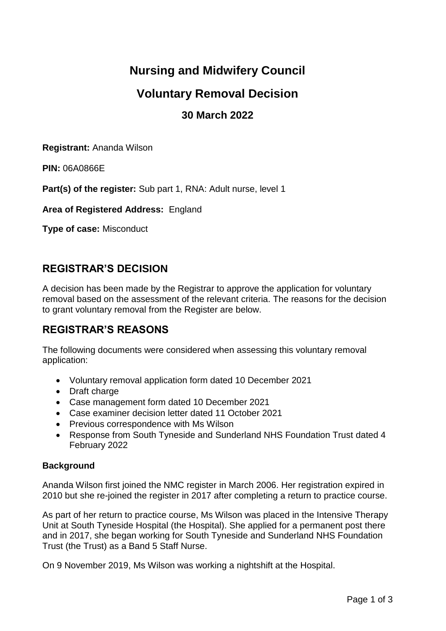# **Nursing and Midwifery Council**

## **Voluntary Removal Decision**

## **30 March 2022**

**Registrant:** Ananda Wilson

**PIN:** 06A0866E

**Part(s) of the register:** Sub part 1, RNA: Adult nurse, level 1

**Area of Registered Address:** England

**Type of case:** Misconduct

### **REGISTRAR'S DECISION**

A decision has been made by the Registrar to approve the application for voluntary removal based on the assessment of the relevant criteria. The reasons for the decision to grant voluntary removal from the Register are below.

### **REGISTRAR'S REASONS**

The following documents were considered when assessing this voluntary removal application:

- Voluntary removal application form dated 10 December 2021
- Draft charge
- Case management form dated 10 December 2021
- Case examiner decision letter dated 11 October 2021
- Previous correspondence with Ms Wilson
- Response from South Tyneside and Sunderland NHS Foundation Trust dated 4 February 2022

#### **Background**

Ananda Wilson first joined the NMC register in March 2006. Her registration expired in 2010 but she re-joined the register in 2017 after completing a return to practice course.

As part of her return to practice course, Ms Wilson was placed in the Intensive Therapy Unit at South Tyneside Hospital (the Hospital). She applied for a permanent post there and in 2017, she began working for South Tyneside and Sunderland NHS Foundation Trust (the Trust) as a Band 5 Staff Nurse.

On 9 November 2019, Ms Wilson was working a nightshift at the Hospital.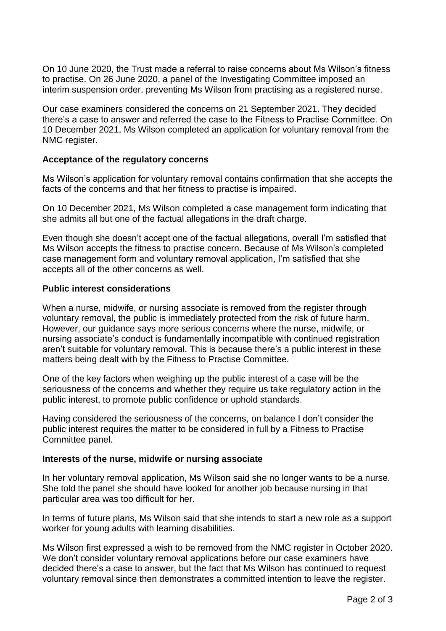On 10 June 2020, the Trust made a referral to raise concerns about Ms Wilson's fitness to practise. On 26 June 2020, a panel of the Investigating Committee imposed an interim suspension order, preventing Ms Wilson from practising as a registered nurse.

Our case examiners considered the concerns on 21 September 2021. They decided there's a case to answer and referred the case to the Fitness to Practise Committee. On 10 December 2021, Ms Wilson completed an application for voluntary removal from the NMC register.

#### **Acceptance of the regulatory concerns**

Ms Wilson's application for voluntary removal contains confirmation that she accepts the facts of the concerns and that her fitness to practise is impaired.

On 10 December 2021, Ms Wilson completed a case management form indicating that she admits all but one of the factual allegations in the draft charge.

Even though she doesn't accept one of the factual allegations, overall I'm satisfied that Ms Wilson accepts the fitness to practise concern. Because of Ms Wilson's completed case management form and voluntary removal application, I'm satisfied that she accepts all of the other concerns as well.

#### **Public interest considerations**

When a nurse, midwife, or nursing associate is removed from the register through voluntary removal, the public is immediately protected from the risk of future harm. However, our guidance says more serious concerns where the nurse, midwife, or nursing associate's conduct is fundamentally incompatible with continued registration aren't suitable for voluntary removal. This is because there's a public interest in these matters being dealt with by the Fitness to Practise Committee.

One of the key factors when weighing up the public interest of a case will be the seriousness of the concerns and whether they require us take regulatory action in the public interest, to promote public confidence or uphold standards.

Having considered the seriousness of the concerns, on balance I don't consider the public interest requires the matter to be considered in full by a Fitness to Practise Committee panel.

#### **Interests of the nurse, midwife or nursing associate**

In her voluntary removal application, Ms Wilson said she no longer wants to be a nurse. She told the panel she should have looked for another job because nursing in that particular area was too difficult for her.

In terms of future plans, Ms Wilson said that she intends to start a new role as a support worker for young adults with learning disabilities.

Ms Wilson first expressed a wish to be removed from the NMC register in October 2020. We don't consider voluntary removal applications before our case examiners have decided there's a case to answer, but the fact that Ms Wilson has continued to request voluntary removal since then demonstrates a committed intention to leave the register.